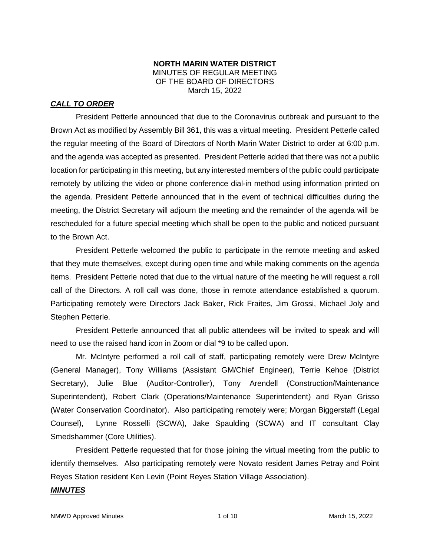### **NORTH MARIN WATER DISTRICT** MINUTES OF REGULAR MEETING OF THE BOARD OF DIRECTORS March 15, 2022

# *CALL TO ORDER*

President Petterle announced that due to the Coronavirus outbreak and pursuant to the Brown Act as modified by Assembly Bill 361, this was a virtual meeting. President Petterle called the regular meeting of the Board of Directors of North Marin Water District to order at 6:00 p.m. and the agenda was accepted as presented. President Petterle added that there was not a public location for participating in this meeting, but any interested members of the public could participate remotely by utilizing the video or phone conference dial-in method using information printed on the agenda. President Petterle announced that in the event of technical difficulties during the meeting, the District Secretary will adjourn the meeting and the remainder of the agenda will be rescheduled for a future special meeting which shall be open to the public and noticed pursuant to the Brown Act.

President Petterle welcomed the public to participate in the remote meeting and asked that they mute themselves, except during open time and while making comments on the agenda items. President Petterle noted that due to the virtual nature of the meeting he will request a roll call of the Directors. A roll call was done, those in remote attendance established a quorum. Participating remotely were Directors Jack Baker, Rick Fraites, Jim Grossi, Michael Joly and Stephen Petterle.

President Petterle announced that all public attendees will be invited to speak and will need to use the raised hand icon in Zoom or dial \*9 to be called upon.

Mr. McIntyre performed a roll call of staff, participating remotely were Drew McIntyre (General Manager), Tony Williams (Assistant GM/Chief Engineer), Terrie Kehoe (District Secretary), Julie Blue (Auditor-Controller), Tony Arendell (Construction/Maintenance Superintendent), Robert Clark (Operations/Maintenance Superintendent) and Ryan Grisso (Water Conservation Coordinator). Also participating remotely were; Morgan Biggerstaff (Legal Counsel), Lynne Rosselli (SCWA), Jake Spaulding (SCWA) and IT consultant Clay Smedshammer (Core Utilities).

President Petterle requested that for those joining the virtual meeting from the public to identify themselves. Also participating remotely were Novato resident James Petray and Point Reyes Station resident Ken Levin (Point Reyes Station Village Association).

# *MINUTES*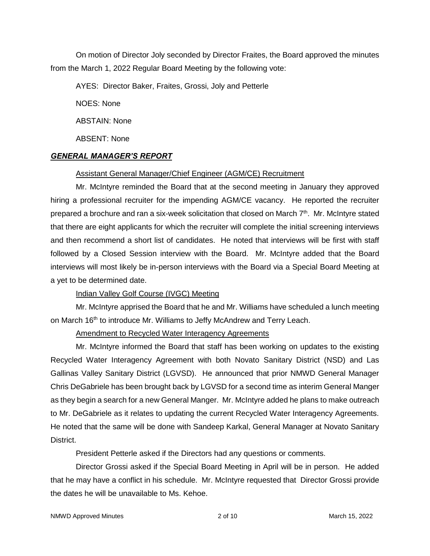On motion of Director Joly seconded by Director Fraites, the Board approved the minutes from the March 1, 2022 Regular Board Meeting by the following vote:

AYES: Director Baker, Fraites, Grossi, Joly and Petterle

NOES: None

ABSTAIN: None

ABSENT: None

# *GENERAL MANAGER'S REPORT*

# Assistant General Manager/Chief Engineer (AGM/CE) Recruitment

Mr. McIntyre reminded the Board that at the second meeting in January they approved hiring a professional recruiter for the impending AGM/CE vacancy. He reported the recruiter prepared a brochure and ran a six-week solicitation that closed on March  $7<sup>th</sup>$ . Mr. McIntyre stated that there are eight applicants for which the recruiter will complete the initial screening interviews and then recommend a short list of candidates. He noted that interviews will be first with staff followed by a Closed Session interview with the Board. Mr. McIntyre added that the Board interviews will most likely be in-person interviews with the Board via a Special Board Meeting at a yet to be determined date.

# Indian Valley Golf Course (IVGC) Meeting

Mr. McIntyre apprised the Board that he and Mr. Williams have scheduled a lunch meeting on March 16<sup>th</sup> to introduce Mr. Williams to Jeffy McAndrew and Terry Leach.

# Amendment to Recycled Water Interagency Agreements

Mr. McIntyre informed the Board that staff has been working on updates to the existing Recycled Water Interagency Agreement with both Novato Sanitary District (NSD) and Las Gallinas Valley Sanitary District (LGVSD). He announced that prior NMWD General Manager Chris DeGabriele has been brought back by LGVSD for a second time as interim General Manger as they begin a search for a new General Manger. Mr. McIntyre added he plans to make outreach to Mr. DeGabriele as it relates to updating the current Recycled Water Interagency Agreements. He noted that the same will be done with Sandeep Karkal, General Manager at Novato Sanitary District.

President Petterle asked if the Directors had any questions or comments.

Director Grossi asked if the Special Board Meeting in April will be in person. He added that he may have a conflict in his schedule. Mr. McIntyre requested that Director Grossi provide the dates he will be unavailable to Ms. Kehoe.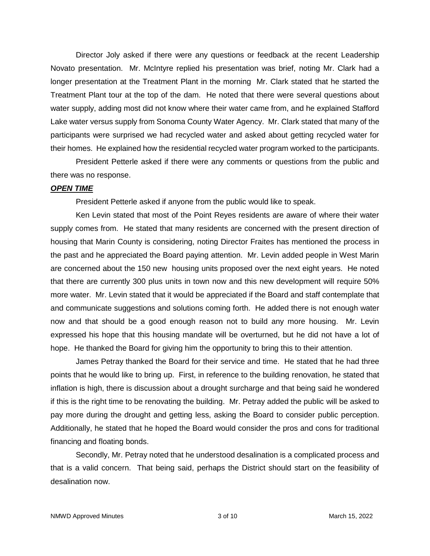Director Joly asked if there were any questions or feedback at the recent Leadership Novato presentation. Mr. McIntyre replied his presentation was brief, noting Mr. Clark had a longer presentation at the Treatment Plant in the morning Mr. Clark stated that he started the Treatment Plant tour at the top of the dam. He noted that there were several questions about water supply, adding most did not know where their water came from, and he explained Stafford Lake water versus supply from Sonoma County Water Agency. Mr. Clark stated that many of the participants were surprised we had recycled water and asked about getting recycled water for their homes. He explained how the residential recycled water program worked to the participants.

President Petterle asked if there were any comments or questions from the public and there was no response.

#### *OPEN TIME*

President Petterle asked if anyone from the public would like to speak.

Ken Levin stated that most of the Point Reyes residents are aware of where their water supply comes from. He stated that many residents are concerned with the present direction of housing that Marin County is considering, noting Director Fraites has mentioned the process in the past and he appreciated the Board paying attention. Mr. Levin added people in West Marin are concerned about the 150 new housing units proposed over the next eight years. He noted that there are currently 300 plus units in town now and this new development will require 50% more water. Mr. Levin stated that it would be appreciated if the Board and staff contemplate that and communicate suggestions and solutions coming forth. He added there is not enough water now and that should be a good enough reason not to build any more housing. Mr. Levin expressed his hope that this housing mandate will be overturned, but he did not have a lot of hope. He thanked the Board for giving him the opportunity to bring this to their attention.

James Petray thanked the Board for their service and time. He stated that he had three points that he would like to bring up. First, in reference to the building renovation, he stated that inflation is high, there is discussion about a drought surcharge and that being said he wondered if this is the right time to be renovating the building. Mr. Petray added the public will be asked to pay more during the drought and getting less, asking the Board to consider public perception. Additionally, he stated that he hoped the Board would consider the pros and cons for traditional financing and floating bonds.

Secondly, Mr. Petray noted that he understood desalination is a complicated process and that is a valid concern. That being said, perhaps the District should start on the feasibility of desalination now.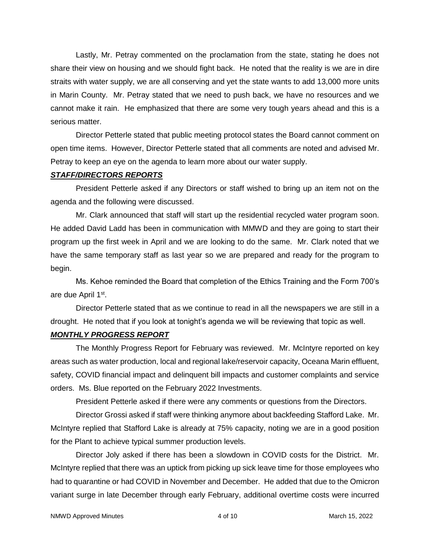Lastly, Mr. Petray commented on the proclamation from the state, stating he does not share their view on housing and we should fight back. He noted that the reality is we are in dire straits with water supply, we are all conserving and yet the state wants to add 13,000 more units in Marin County. Mr. Petray stated that we need to push back, we have no resources and we cannot make it rain. He emphasized that there are some very tough years ahead and this is a serious matter.

Director Petterle stated that public meeting protocol states the Board cannot comment on open time items. However, Director Petterle stated that all comments are noted and advised Mr. Petray to keep an eye on the agenda to learn more about our water supply.

### *STAFF/DIRECTORS REPORTS*

President Petterle asked if any Directors or staff wished to bring up an item not on the agenda and the following were discussed.

Mr. Clark announced that staff will start up the residential recycled water program soon. He added David Ladd has been in communication with MMWD and they are going to start their program up the first week in April and we are looking to do the same. Mr. Clark noted that we have the same temporary staff as last year so we are prepared and ready for the program to begin.

Ms. Kehoe reminded the Board that completion of the Ethics Training and the Form 700's are due April 1st.

Director Petterle stated that as we continue to read in all the newspapers we are still in a drought. He noted that if you look at tonight's agenda we will be reviewing that topic as well.

# *MONTHLY PROGRESS REPORT*

The Monthly Progress Report for February was reviewed. Mr. McIntyre reported on key areas such as water production, local and regional lake/reservoir capacity, Oceana Marin effluent, safety, COVID financial impact and delinquent bill impacts and customer complaints and service orders. Ms. Blue reported on the February 2022 Investments.

President Petterle asked if there were any comments or questions from the Directors.

Director Grossi asked if staff were thinking anymore about backfeeding Stafford Lake. Mr. McIntyre replied that Stafford Lake is already at 75% capacity, noting we are in a good position for the Plant to achieve typical summer production levels.

Director Joly asked if there has been a slowdown in COVID costs for the District. Mr. McIntyre replied that there was an uptick from picking up sick leave time for those employees who had to quarantine or had COVID in November and December. He added that due to the Omicron variant surge in late December through early February, additional overtime costs were incurred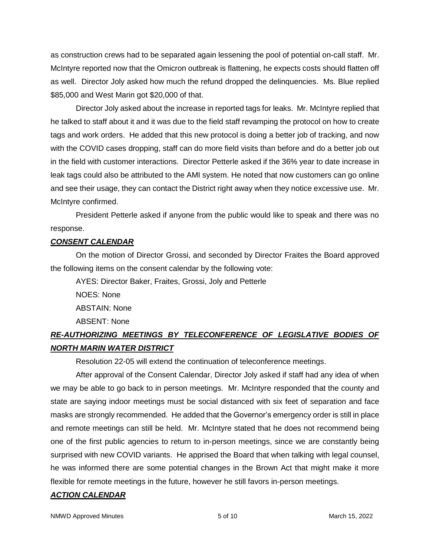as construction crews had to be separated again lessening the pool of potential on-call staff. Mr. McIntyre reported now that the Omicron outbreak is flattening, he expects costs should flatten off as well. Director Joly asked how much the refund dropped the delinquencies. Ms. Blue replied \$85,000 and West Marin got \$20,000 of that.

Director Joly asked about the increase in reported tags for leaks. Mr. McIntyre replied that he talked to staff about it and it was due to the field staff revamping the protocol on how to create tags and work orders. He added that this new protocol is doing a better job of tracking, and now with the COVID cases dropping, staff can do more field visits than before and do a better job out in the field with customer interactions. Director Petterle asked if the 36% year to date increase in leak tags could also be attributed to the AMI system. He noted that now customers can go online and see their usage, they can contact the District right away when they notice excessive use. Mr. McIntyre confirmed.

President Petterle asked if anyone from the public would like to speak and there was no response.

# *CONSENT CALENDAR*

On the motion of Director Grossi, and seconded by Director Fraites the Board approved the following items on the consent calendar by the following vote:

AYES: Director Baker, Fraites, Grossi, Joly and Petterle NOES: None

ABSTAIN: None

ABSENT: None

# *RE-AUTHORIZING MEETINGS BY TELECONFERENCE OF LEGISLATIVE BODIES OF NORTH MARIN WATER DISTRICT*

Resolution 22-05 will extend the continuation of teleconference meetings.

After approval of the Consent Calendar, Director Joly asked if staff had any idea of when we may be able to go back to in person meetings. Mr. McIntyre responded that the county and state are saying indoor meetings must be social distanced with six feet of separation and face masks are strongly recommended. He added that the Governor's emergency order is still in place and remote meetings can still be held. Mr. McIntyre stated that he does not recommend being one of the first public agencies to return to in-person meetings, since we are constantly being surprised with new COVID variants. He apprised the Board that when talking with legal counsel, he was informed there are some potential changes in the Brown Act that might make it more flexible for remote meetings in the future, however he still favors in-person meetings.

#### *ACTION CALENDAR*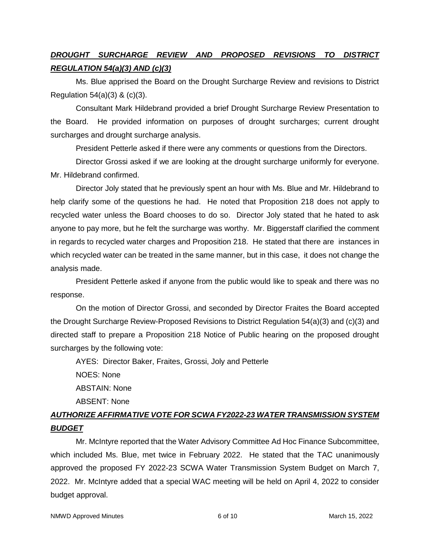# *DROUGHT SURCHARGE REVIEW AND PROPOSED REVISIONS TO DISTRICT REGULATION 54(a)(3) AND (c)(3)*

Ms. Blue apprised the Board on the Drought Surcharge Review and revisions to District Regulation  $54(a)(3)$  &  $(c)(3)$ .

Consultant Mark Hildebrand provided a brief Drought Surcharge Review Presentation to the Board. He provided information on purposes of drought surcharges; current drought surcharges and drought surcharge analysis.

President Petterle asked if there were any comments or questions from the Directors.

Director Grossi asked if we are looking at the drought surcharge uniformly for everyone. Mr. Hildebrand confirmed.

Director Joly stated that he previously spent an hour with Ms. Blue and Mr. Hildebrand to help clarify some of the questions he had. He noted that Proposition 218 does not apply to recycled water unless the Board chooses to do so. Director Joly stated that he hated to ask anyone to pay more, but he felt the surcharge was worthy. Mr. Biggerstaff clarified the comment in regards to recycled water charges and Proposition 218. He stated that there are instances in which recycled water can be treated in the same manner, but in this case, it does not change the analysis made.

President Petterle asked if anyone from the public would like to speak and there was no response.

On the motion of Director Grossi, and seconded by Director Fraites the Board accepted the Drought Surcharge Review-Proposed Revisions to District Regulation 54(a)(3) and (c)(3) and directed staff to prepare a Proposition 218 Notice of Public hearing on the proposed drought surcharges by the following vote:

AYES: Director Baker, Fraites, Grossi, Joly and Petterle

NOES: None ABSTAIN: None

ABSENT: None

# *AUTHORIZE AFFIRMATIVE VOTE FOR SCWA FY2022-23 WATER TRANSMISSION SYSTEM BUDGET*

Mr. McIntyre reported that the Water Advisory Committee Ad Hoc Finance Subcommittee, which included Ms. Blue, met twice in February 2022. He stated that the TAC unanimously approved the proposed FY 2022-23 SCWA Water Transmission System Budget on March 7, 2022. Mr. McIntyre added that a special WAC meeting will be held on April 4, 2022 to consider budget approval.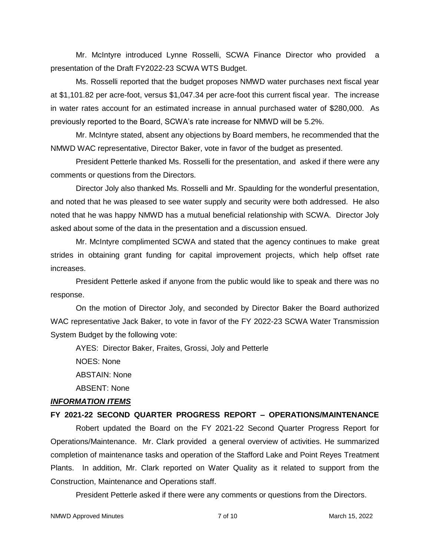Mr. McIntyre introduced Lynne Rosselli, SCWA Finance Director who provided a presentation of the Draft FY2022-23 SCWA WTS Budget.

Ms. Rosselli reported that the budget proposes NMWD water purchases next fiscal year at \$1,101.82 per acre-foot, versus \$1,047.34 per acre-foot this current fiscal year. The increase in water rates account for an estimated increase in annual purchased water of \$280,000. As previously reported to the Board, SCWA's rate increase for NMWD will be 5.2%.

Mr. McIntyre stated, absent any objections by Board members, he recommended that the NMWD WAC representative, Director Baker, vote in favor of the budget as presented.

President Petterle thanked Ms. Rosselli for the presentation, and asked if there were any comments or questions from the Directors.

Director Joly also thanked Ms. Rosselli and Mr. Spaulding for the wonderful presentation, and noted that he was pleased to see water supply and security were both addressed. He also noted that he was happy NMWD has a mutual beneficial relationship with SCWA. Director Joly asked about some of the data in the presentation and a discussion ensued.

Mr. McIntyre complimented SCWA and stated that the agency continues to make great strides in obtaining grant funding for capital improvement projects, which help offset rate increases.

President Petterle asked if anyone from the public would like to speak and there was no response.

On the motion of Director Joly, and seconded by Director Baker the Board authorized WAC representative Jack Baker, to vote in favor of the FY 2022-23 SCWA Water Transmission System Budget by the following vote:

AYES: Director Baker, Fraites, Grossi, Joly and Petterle

NOES: None

ABSTAIN: None

ABSENT: None

# *INFORMATION ITEMS*

# **FY 2021-22 SECOND QUARTER PROGRESS REPORT – OPERATIONS/MAINTENANCE**

Robert updated the Board on the FY 2021-22 Second Quarter Progress Report for Operations/Maintenance. Mr. Clark provided a general overview of activities. He summarized completion of maintenance tasks and operation of the Stafford Lake and Point Reyes Treatment Plants. In addition, Mr. Clark reported on Water Quality as it related to support from the Construction, Maintenance and Operations staff.

President Petterle asked if there were any comments or questions from the Directors.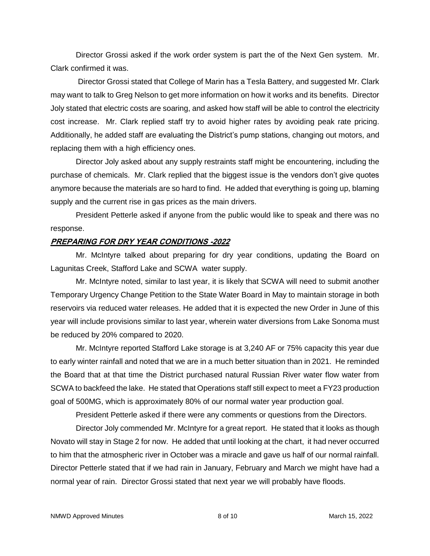Director Grossi asked if the work order system is part the of the Next Gen system. Mr. Clark confirmed it was.

Director Grossi stated that College of Marin has a Tesla Battery, and suggested Mr. Clark may want to talk to Greg Nelson to get more information on how it works and its benefits. Director Joly stated that electric costs are soaring, and asked how staff will be able to control the electricity cost increase. Mr. Clark replied staff try to avoid higher rates by avoiding peak rate pricing. Additionally, he added staff are evaluating the District's pump stations, changing out motors, and replacing them with a high efficiency ones.

Director Joly asked about any supply restraints staff might be encountering, including the purchase of chemicals. Mr. Clark replied that the biggest issue is the vendors don't give quotes anymore because the materials are so hard to find. He added that everything is going up, blaming supply and the current rise in gas prices as the main drivers.

President Petterle asked if anyone from the public would like to speak and there was no response.

# **PREPARING FOR DRY YEAR CONDITIONS -2022**

Mr. McIntyre talked about preparing for dry year conditions, updating the Board on Lagunitas Creek, Stafford Lake and SCWA water supply.

Mr. McIntyre noted, similar to last year, it is likely that SCWA will need to submit another Temporary Urgency Change Petition to the State Water Board in May to maintain storage in both reservoirs via reduced water releases. He added that it is expected the new Order in June of this year will include provisions similar to last year, wherein water diversions from Lake Sonoma must be reduced by 20% compared to 2020.

Mr. McIntyre reported Stafford Lake storage is at 3,240 AF or 75% capacity this year due to early winter rainfall and noted that we are in a much better situation than in 2021. He reminded the Board that at that time the District purchased natural Russian River water flow water from SCWA to backfeed the lake. He stated that Operations staff still expect to meet a FY23 production goal of 500MG, which is approximately 80% of our normal water year production goal.

President Petterle asked if there were any comments or questions from the Directors.

Director Joly commended Mr. McIntyre for a great report. He stated that it looks as though Novato will stay in Stage 2 for now. He added that until looking at the chart, it had never occurred to him that the atmospheric river in October was a miracle and gave us half of our normal rainfall. Director Petterle stated that if we had rain in January, February and March we might have had a normal year of rain. Director Grossi stated that next year we will probably have floods.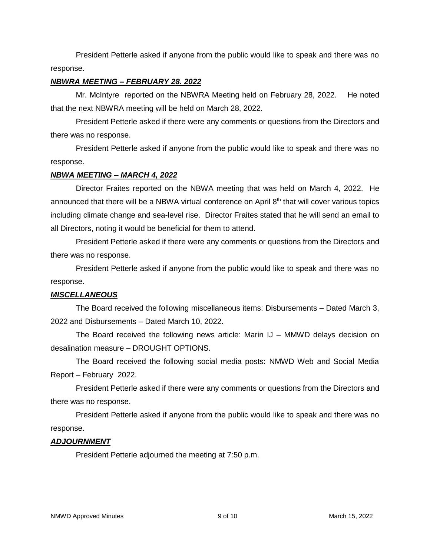President Petterle asked if anyone from the public would like to speak and there was no response.

### *NBWRA MEETING – FEBRUARY 28. 2022*

Mr. McIntyre reported on the NBWRA Meeting held on February 28, 2022. He noted that the next NBWRA meeting will be held on March 28, 2022.

President Petterle asked if there were any comments or questions from the Directors and there was no response.

President Petterle asked if anyone from the public would like to speak and there was no response.

### *NBWA MEETING – MARCH 4, 2022*

Director Fraites reported on the NBWA meeting that was held on March 4, 2022. He announced that there will be a NBWA virtual conference on April 8<sup>th</sup> that will cover various topics including climate change and sea-level rise. Director Fraites stated that he will send an email to all Directors, noting it would be beneficial for them to attend.

President Petterle asked if there were any comments or questions from the Directors and there was no response.

President Petterle asked if anyone from the public would like to speak and there was no response.

# *MISCELLANEOUS*

The Board received the following miscellaneous items: Disbursements – Dated March 3, 2022 and Disbursements – Dated March 10, 2022.

The Board received the following news article: Marin IJ – MMWD delays decision on desalination measure – DROUGHT OPTIONS.

The Board received the following social media posts: NMWD Web and Social Media Report – February 2022.

President Petterle asked if there were any comments or questions from the Directors and there was no response.

President Petterle asked if anyone from the public would like to speak and there was no response.

# *ADJOURNMENT*

President Petterle adjourned the meeting at 7:50 p.m.